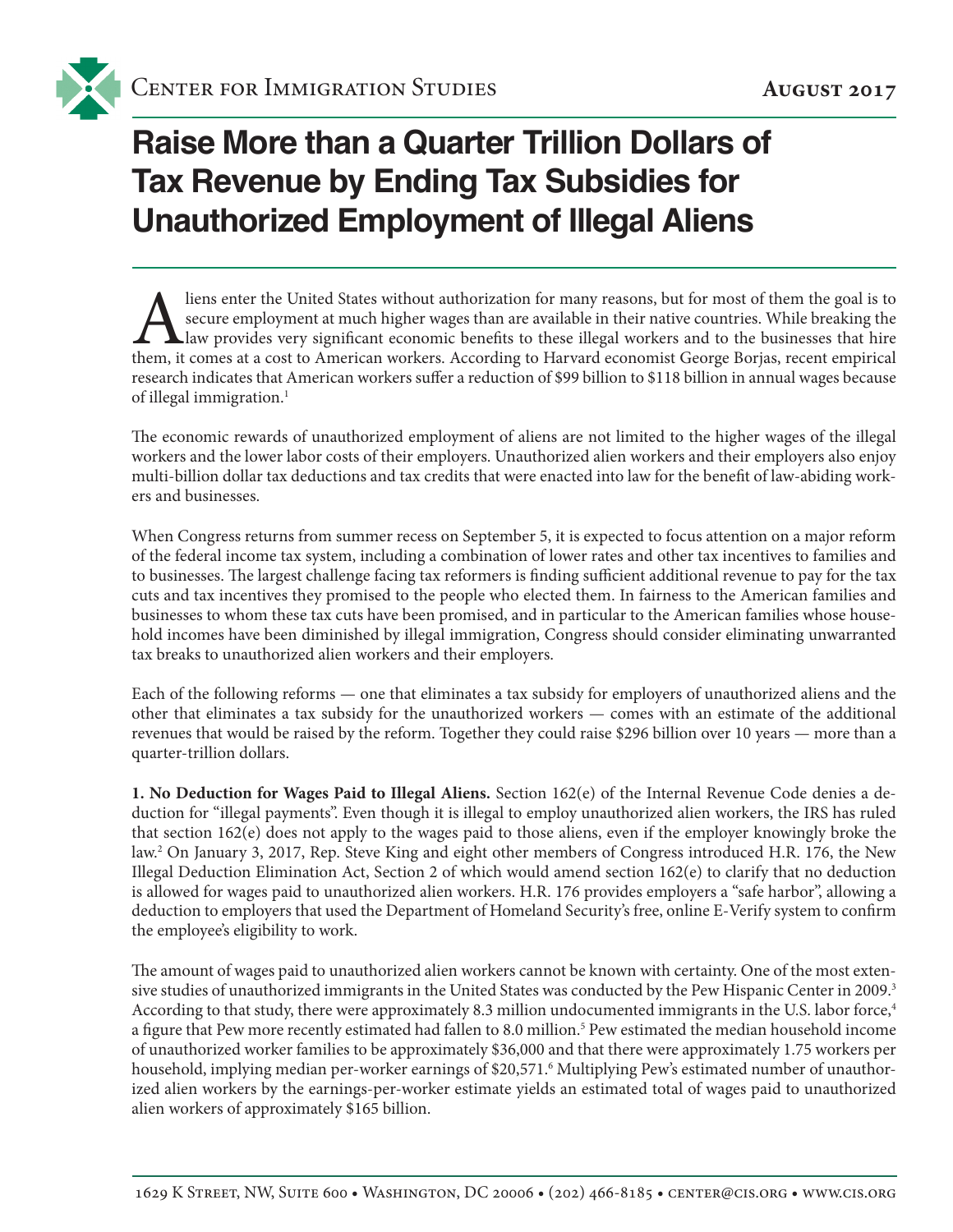

## **Raise More than a Quarter Trillion Dollars of Tax Revenue by Ending Tax Subsidies for Unauthorized Employment of Illegal Aliens**

I liens enter the United States without authorization for many reasons, but for most of them the goal is to secure employment at much higher wages than are available in their native countries. While breaking the law provid secure employment at much higher wages than are available in their native countries. While breaking the law provides very significant economic benefits to these illegal workers and to the businesses that hire them, it comes at a cost to American workers. According to Harvard economist George Borjas, recent empirical research indicates that American workers suffer a reduction of \$99 billion to \$118 billion in annual wages because of illegal immigration.<sup>1</sup>

The economic rewards of unauthorized employment of aliens are not limited to the higher wages of the illegal workers and the lower labor costs of their employers. Unauthorized alien workers and their employers also enjoy multi-billion dollar tax deductions and tax credits that were enacted into law for the benefit of law-abiding workers and businesses.

When Congress returns from summer recess on September 5, it is expected to focus attention on a major reform of the federal income tax system, including a combination of lower rates and other tax incentives to families and to businesses. The largest challenge facing tax reformers is finding sufficient additional revenue to pay for the tax cuts and tax incentives they promised to the people who elected them. In fairness to the American families and businesses to whom these tax cuts have been promised, and in particular to the American families whose household incomes have been diminished by illegal immigration, Congress should consider eliminating unwarranted tax breaks to unauthorized alien workers and their employers.

Each of the following reforms — one that eliminates a tax subsidy for employers of unauthorized aliens and the other that eliminates a tax subsidy for the unauthorized workers — comes with an estimate of the additional revenues that would be raised by the reform. Together they could raise \$296 billion over 10 years — more than a quarter-trillion dollars.

**1. No Deduction for Wages Paid to Illegal Aliens.** Section 162(e) of the Internal Revenue Code denies a deduction for "illegal payments". Even though it is illegal to employ unauthorized alien workers, the IRS has ruled that section 162(e) does not apply to the wages paid to those aliens, even if the employer knowingly broke the law.2 On January 3, 2017, Rep. Steve King and eight other members of Congress introduced H.R. 176, the New Illegal Deduction Elimination Act, Section 2 of which would amend section 162(e) to clarify that no deduction is allowed for wages paid to unauthorized alien workers. H.R. 176 provides employers a "safe harbor", allowing a deduction to employers that used the Department of Homeland Security's free, online E-Verify system to confirm the employee's eligibility to work.

The amount of wages paid to unauthorized alien workers cannot be known with certainty. One of the most extensive studies of unauthorized immigrants in the United States was conducted by the Pew Hispanic Center in 2009.3 According to that study, there were approximately 8.3 million undocumented immigrants in the U.S. labor force,<sup>4</sup> a figure that Pew more recently estimated had fallen to 8.0 million.<sup>5</sup> Pew estimated the median household income of unauthorized worker families to be approximately \$36,000 and that there were approximately 1.75 workers per household, implying median per-worker earnings of \$20,571.<sup>6</sup> Multiplying Pew's estimated number of unauthorized alien workers by the earnings-per-worker estimate yields an estimated total of wages paid to unauthorized alien workers of approximately \$165 billion.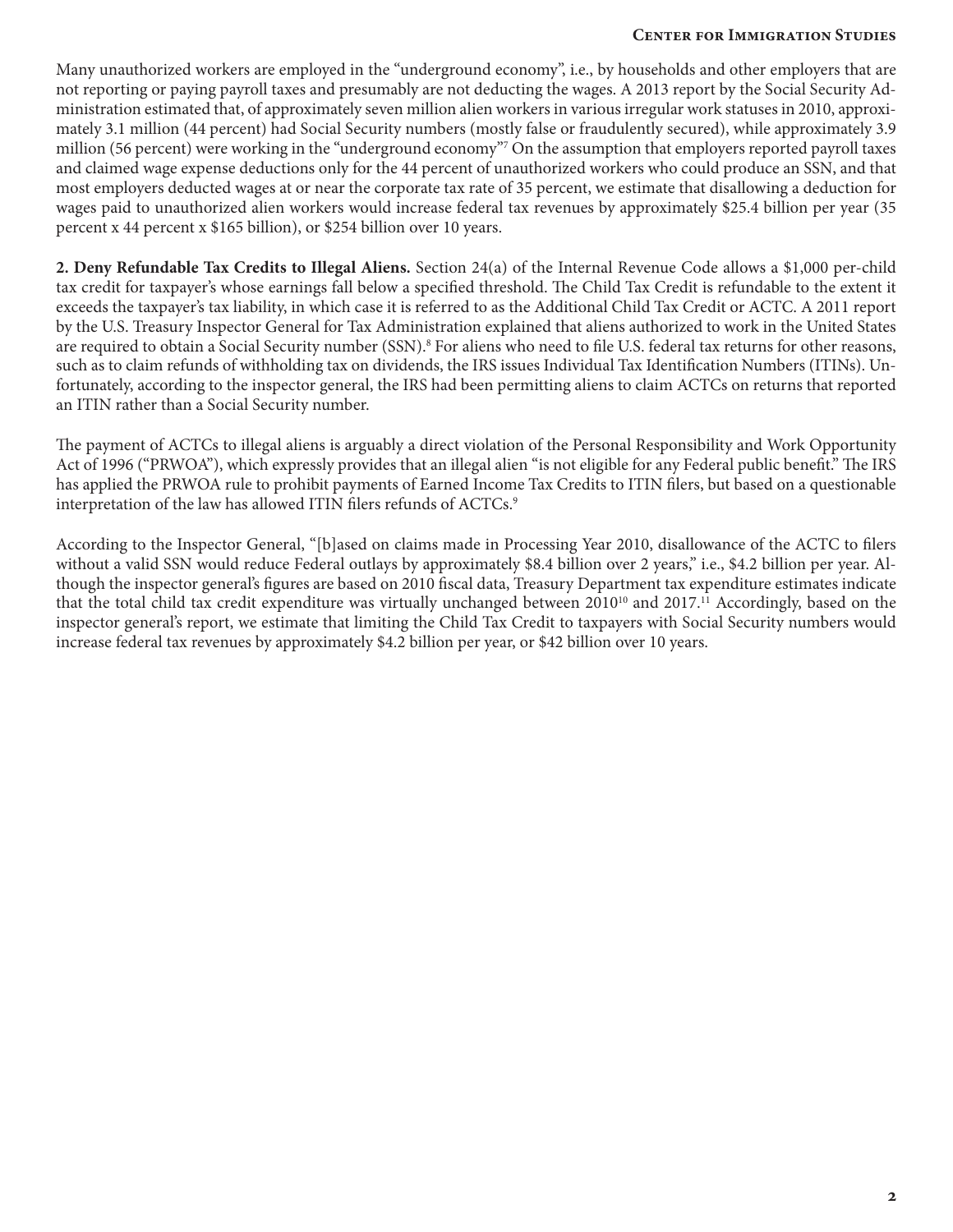## **Center for Immigration Studies Center for Immigration Studies**

Many unauthorized workers are employed in the "underground economy", i.e., by households and other employers that are not reporting or paying payroll taxes and presumably are not deducting the wages. A 2013 report by the Social Security Administration estimated that, of approximately seven million alien workers in various irregular work statuses in 2010, approximately 3.1 million (44 percent) had Social Security numbers (mostly false or fraudulently secured), while approximately 3.9 million (56 percent) were working in the "underground economy"<sup>7</sup> On the assumption that employers reported payroll taxes and claimed wage expense deductions only for the 44 percent of unauthorized workers who could produce an SSN, and that most employers deducted wages at or near the corporate tax rate of 35 percent, we estimate that disallowing a deduction for wages paid to unauthorized alien workers would increase federal tax revenues by approximately \$25.4 billion per year (35 percent x 44 percent x \$165 billion), or \$254 billion over 10 years.

**2. Deny Refundable Tax Credits to Illegal Aliens.** Section 24(a) of the Internal Revenue Code allows a \$1,000 per-child tax credit for taxpayer's whose earnings fall below a specified threshold. The Child Tax Credit is refundable to the extent it exceeds the taxpayer's tax liability, in which case it is referred to as the Additional Child Tax Credit or ACTC. A 2011 report by the U.S. Treasury Inspector General for Tax Administration explained that aliens authorized to work in the United States are required to obtain a Social Security number (SSN).<sup>8</sup> For aliens who need to file U.S. federal tax returns for other reasons, such as to claim refunds of withholding tax on dividends, the IRS issues Individual Tax Identification Numbers (ITINs). Unfortunately, according to the inspector general, the IRS had been permitting aliens to claim ACTCs on returns that reported an ITIN rather than a Social Security number.

The payment of ACTCs to illegal aliens is arguably a direct violation of the Personal Responsibility and Work Opportunity Act of 1996 ("PRWOA"), which expressly provides that an illegal alien "is not eligible for any Federal public benefit." The IRS has applied the PRWOA rule to prohibit payments of Earned Income Tax Credits to ITIN filers, but based on a questionable interpretation of the law has allowed ITIN filers refunds of ACTCs.<sup>9</sup>

According to the Inspector General, "[b]ased on claims made in Processing Year 2010, disallowance of the ACTC to filers without a valid SSN would reduce Federal outlays by approximately \$8.4 billion over 2 years," i.e., \$4.2 billion per year. Although the inspector general's figures are based on 2010 fiscal data, Treasury Department tax expenditure estimates indicate that the total child tax credit expenditure was virtually unchanged between 2010<sup>10</sup> and 2017.<sup>11</sup> Accordingly, based on the inspector general's report, we estimate that limiting the Child Tax Credit to taxpayers with Social Security numbers would increase federal tax revenues by approximately \$4.2 billion per year, or \$42 billion over 10 years.